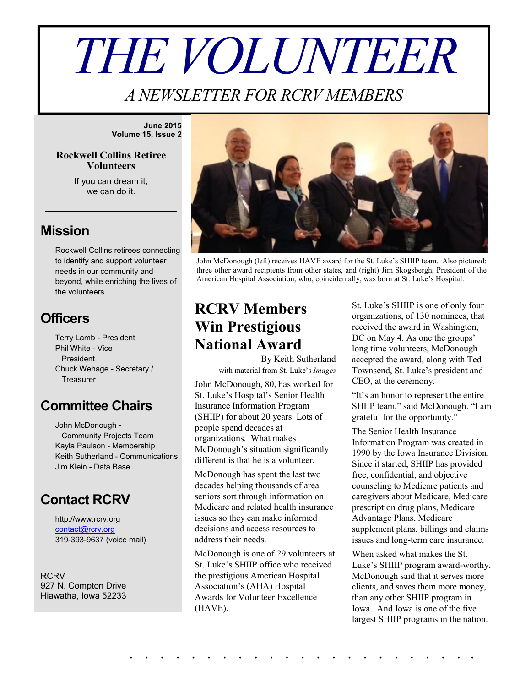# *THE VOLUNTEER*

*A NEWSLETTER FOR RCRV MEMBERS*

**June 2015 Volume 15, Issue 2**

#### **Rockwell Collins Retiree Volunteers**

If you can dream it, we can do it.

 $\overline{\phantom{a}}$  , and the set of the set of the set of the set of the set of the set of the set of the set of the set of the set of the set of the set of the set of the set of the set of the set of the set of the set of the s

## **Mission**

Rockwell Collins retirees connecting to identify and support volunteer needs in our community and beyond, while enriching the lives of the volunteers.

## **Officers**

Terry Lamb - President Phil White - Vice President Chuck Wehage - Secretary / **Treasurer** 

## **Committee Chairs**

John McDonough - Community Projects Team Kayla Paulson - Membership Keith Sutherland - Communications Jim Klein - Data Base

## **Contact RCRV**

http://www.rcrv.org contact@rcrv.org 319-393-9637 (voice mail)

**RCRV** 927 N. Compton Drive Hiawatha, Iowa 52233



John McDonough (left) receives HAVE award for the St. Luke's SHIIP team. Also pictured: three other award recipients from other states, and (right) Jim Skogsbergh, President of the American Hospital Association, who, coincidentally, was born at St. Luke's Hospital.

## **RCRV Members Win Prestigious National Award**

By Keith Sutherland with material from St. Luke's *Images*

John McDonough, 80, has worked for St. Luke's Hospital's Senior Health Insurance Information Program (SHIIP) for about 20 years. Lots of people spend decades at organizations. What makes McDonough's situation significantly different is that he is a volunteer.

McDonough has spent the last two decades helping thousands of area seniors sort through information on Medicare and related health insurance issues so they can make informed decisions and access resources to address their needs.

McDonough is one of 29 volunteers at St. Luke's SHIIP office who received the prestigious American Hospital Association's (AHA) Hospital Awards for Volunteer Excellence (HAVE).

. . . . . . . . . . . . . . . . . . . . . . .

St. Luke's SHIIP is one of only four organizations, of 130 nominees, that received the award in Washington, DC on May 4. As one the groups' long time volunteers, McDonough accepted the award, along with Ted Townsend, St. Luke's president and CEO, at the ceremony.

"It's an honor to represent the entire SHIIP team," said McDonough. "I am grateful for the opportunity."

The Senior Health Insurance Information Program was created in 1990 by the Iowa Insurance Division. Since it started, SHIIP has provided free, confidential, and objective counseling to Medicare patients and caregivers about Medicare, Medicare prescription drug plans, Medicare Advantage Plans, Medicare supplement plans, billings and claims issues and long-term care insurance.

When asked what makes the St. Luke's SHIIP program award-worthy, McDonough said that it serves more clients, and saves them more money, than any other SHIIP program in Iowa. And Iowa is one of the five largest SHIIP programs in the nation.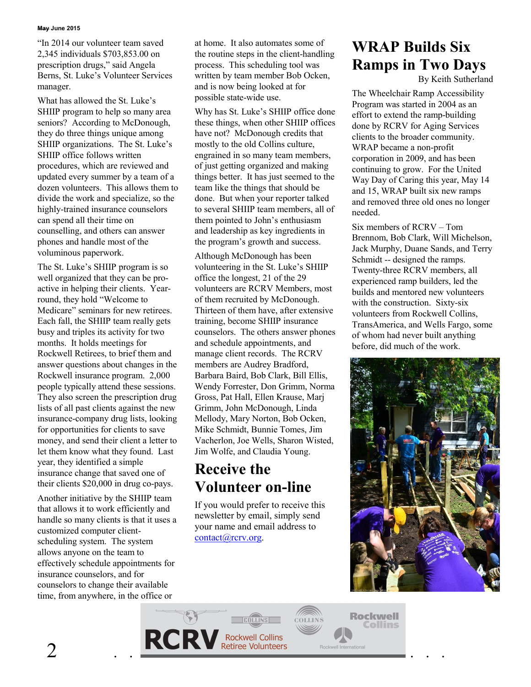#### **May June 2015**

"In 2014 our volunteer team saved 2,345 individuals \$703,853.00 on prescription drugs," said Angela Berns, St. Luke's Volunteer Services manager.

What has allowed the St. Luke's SHIIP program to help so many area seniors? According to McDonough, they do three things unique among SHIIP organizations. The St. Luke's SHIIP office follows written procedures, which are reviewed and updated every summer by a team of a dozen volunteers. This allows them to divide the work and specialize, so the highly-trained insurance counselors can spend all their time on counselling, and others can answer phones and handle most of the voluminous paperwork.

The St. Luke's SHIIP program is so well organized that they can be proactive in helping their clients. Yearround, they hold "Welcome to Medicare" seminars for new retirees. Each fall, the SHIIP team really gets busy and triples its activity for two months. It holds meetings for Rockwell Retirees, to brief them and answer questions about changes in the Rockwell insurance program. 2,000 people typically attend these sessions. They also screen the prescription drug lists of all past clients against the new insurance-company drug lists, looking for opportunities for clients to save money, and send their client a letter to let them know what they found. Last year, they identified a simple insurance change that saved one of their clients \$20,000 in drug co-pays.

Another initiative by the SHIIP team that allows it to work efficiently and handle so many clients is that it uses a customized computer clientscheduling system. The system allows anyone on the team to effectively schedule appointments for insurance counselors, and for counselors to change their available time, from anywhere, in the office or

at home. It also automates some of the routine steps in the client-handling process. This scheduling tool was written by team member Bob Ocken, and is now being looked at for possible state-wide use.

Why has St. Luke's SHIIP office done these things, when other SHIIP offices have not? McDonough credits that mostly to the old Collins culture, engrained in so many team members, of just getting organized and making things better. It has just seemed to the team like the things that should be done. But when your reporter talked to several SHIIP team members, all of them pointed to John's enthusiasm and leadership as key ingredients in the program's growth and success.

Although McDonough has been volunteering in the St. Luke's SHIIP office the longest, 21 of the 29 volunteers are RCRV Members, most of them recruited by McDonough. Thirteen of them have, after extensive training, become SHIIP insurance counselors. The others answer phones and schedule appointments, and manage client records. The RCRV members are Audrey Bradford, Barbara Baird, Bob Clark, Bill Ellis, Wendy Forrester, Don Grimm, Norma Gross, Pat Hall, Ellen Krause, Marj Grimm, John McDonough, Linda Mellody, Mary Norton, Bob Ocken, Mike Schmidt, Bunnie Tomes, Jim Vacherlon, Joe Wells, Sharon Wisted, Jim Wolfe, and Claudia Young.

## **Receive the Volunteer on-line**

If you would prefer to receive this newsletter by email, simply send your name and email address to contact@rcrv.org.

## **WRAP Builds Six Ramps in Two Days**

By Keith Sutherland

The Wheelchair Ramp Accessibility Program was started in 2004 as an effort to extend the ramp-building done by RCRV for Aging Services clients to the broader community. WRAP became a non-profit corporation in 2009, and has been continuing to grow. For the United Way Day of Caring this year, May 14 and 15, WRAP built six new ramps and removed three old ones no longer needed.

Six members of RCRV – Tom Brennom, Bob Clark, Will Michelson, Jack Murphy, Duane Sands, and Terry Schmidt -- designed the ramps. Twenty-three RCRV members, all experienced ramp builders, led the builds and mentored new volunteers with the construction. Sixty-six volunteers from Rockwell Collins, TransAmerica, and Wells Fargo, some of whom had never built anything before, did much of the work.



**Rockwell** 

Collins

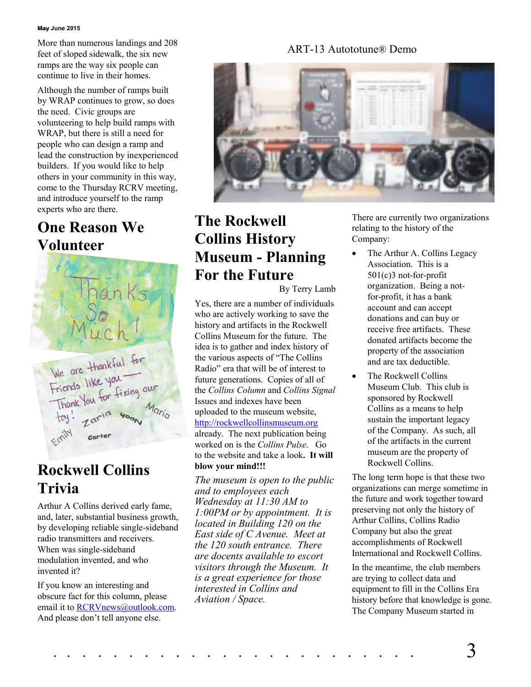#### **May June 2015**

More than numerous landings and 208 feet of sloped sidewalk, the six new ramps are the way six people can continue to live in their homes.

Although the number of ramps built by WRAP continues to grow, so does the need. Civic groups are volunteering to help build ramps with WRAP, but there is still a need for people who can design a ramp and lead the construction by inexperienced builders. If you would like to help others in your community in this way, come to the Thursday RCRV meeting, and introduce yourself to the ramp experts who are there.

## **One Reason We Volunteer**



## **Rockwell Collins Trivia**

Arthur A Collins derived early fame, and, later, substantial business growth, by developing reliable single-sideband radio transmitters and receivers. When was single-sideband modulation invented, and who invented it?

If you know an interesting and obscure fact for this column, please email it to RCRVnews@outlook.com. And please don't tell anyone else.

## ART-13 Autototune® Demo



## **The Rockwell Collins History Museum - Planning For the Future**

By Terry Lamb

Yes, there are a number of individuals who are actively working to save the history and artifacts in the Rockwell Collins Museum for the future. The idea is to gather and index history of the various aspects of "The Collins Radio" era that will be of interest to future generations. Copies of all of the *Collins Column* and *Collins Signal* Issues and indexes have been uploaded to the museum website, http://rockwellcollinsmuseum.org already. The next publication being worked on is the *Collins Pulse*. Go to the website and take a look**. It will blow your mind!!!**

*The museum is open to the public and to employees each Wednesday at 11:30 AM to 1:00PM or by appointment. It is located in Building 120 on the East side of C Avenue. Meet at the 120 south entrance. There are docents available to escort visitors through the Museum. It is a great experience for those interested in Collins and Aviation / Space.*

There are currently two organizations relating to the history of the Company:

- The Arthur A. Collins Legacy Association. This is a 501(c)3 not-for-profit organization. Being a notfor-profit, it has a bank account and can accept donations and can buy or receive free artifacts. These donated artifacts become the property of the association and are tax deductible.
- The Rockwell Collins Museum Club. This club is sponsored by Rockwell Collins as a means to help sustain the important legacy of the Company. As such, all of the artifacts in the current museum are the property of Rockwell Collins.

The long term hope is that these two organizations can merge sometime in the future and work together toward preserving not only the history of Arthur Collins, Collins Radio Company but also the great accomplishments of Rockwell International and Rockwell Collins.

In the meantime, the club members are trying to collect data and equipment to fill in the Collins Era history before that knowledge is gone. The Company Museum started in